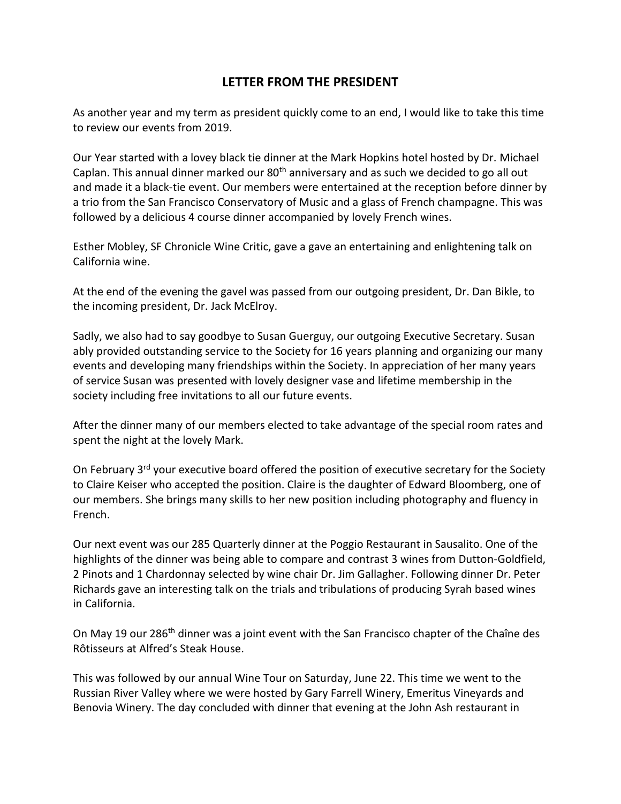## **LETTER FROM THE PRESIDENT**

As another year and my term as president quickly come to an end, I would like to take this time to review our events from 2019.

Our Year started with a lovey black tie dinner at the Mark Hopkins hotel hosted by Dr. Michael Caplan. This annual dinner marked our 80<sup>th</sup> anniversary and as such we decided to go all out and made it a black-tie event. Our members were entertained at the reception before dinner by a trio from the San Francisco Conservatory of Music and a glass of French champagne. This was followed by a delicious 4 course dinner accompanied by lovely French wines.

Esther Mobley, SF Chronicle Wine Critic, gave a gave an entertaining and enlightening talk on California wine.

At the end of the evening the gavel was passed from our outgoing president, Dr. Dan Bikle, to the incoming president, Dr. Jack McElroy.

Sadly, we also had to say goodbye to Susan Guerguy, our outgoing Executive Secretary. Susan ably provided outstanding service to the Society for 16 years planning and organizing our many events and developing many friendships within the Society. In appreciation of her many years of service Susan was presented with lovely designer vase and lifetime membership in the society including free invitations to all our future events.

After the dinner many of our members elected to take advantage of the special room rates and spent the night at the lovely Mark.

On February 3<sup>rd</sup> your executive board offered the position of executive secretary for the Society to Claire Keiser who accepted the position. Claire is the daughter of Edward Bloomberg, one of our members. She brings many skills to her new position including photography and fluency in French.

Our next event was our 285 Quarterly dinner at the Poggio Restaurant in Sausalito. One of the highlights of the dinner was being able to compare and contrast 3 wines from Dutton-Goldfield, 2 Pinots and 1 Chardonnay selected by wine chair Dr. Jim Gallagher. Following dinner Dr. Peter Richards gave an interesting talk on the trials and tribulations of producing Syrah based wines in California.

On May 19 our 286<sup>th</sup> dinner was a joint event with the San Francisco chapter of the Chaîne des Rôtisseurs at Alfred's Steak House.

This was followed by our annual Wine Tour on Saturday, June 22. This time we went to the Russian River Valley where we were hosted by Gary Farrell Winery, Emeritus Vineyards and Benovia Winery. The day concluded with dinner that evening at the John Ash restaurant in